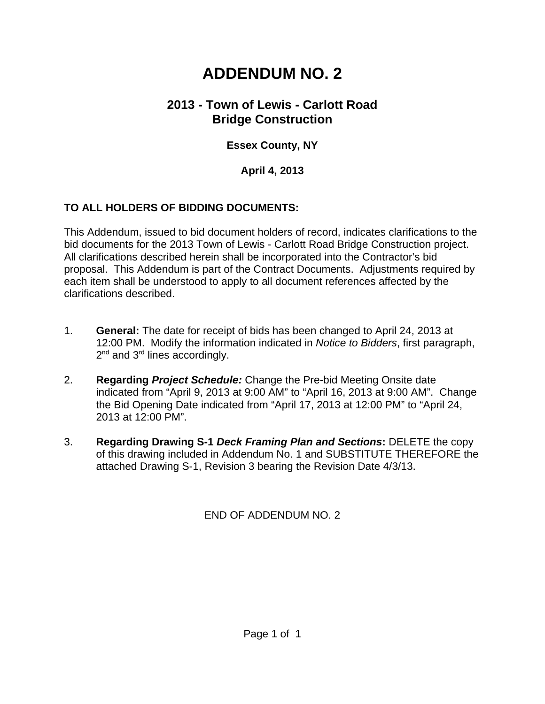# **ADDENDUM NO. 2**

## **2013 - Town of Lewis - Carlott Road Bridge Construction**

## **Essex County, NY**

#### **April 4, 2013**

### **TO ALL HOLDERS OF BIDDING DOCUMENTS:**

This Addendum, issued to bid document holders of record, indicates clarifications to the bid documents for the 2013 Town of Lewis - Carlott Road Bridge Construction project. All clarifications described herein shall be incorporated into the Contractor's bid proposal. This Addendum is part of the Contract Documents. Adjustments required by each item shall be understood to apply to all document references affected by the clarifications described.

- 1. **General:** The date for receipt of bids has been changed to April 24, 2013 at 12:00 PM. Modify the information indicated in *Notice to Bidders*, first paragraph,  $2^{nd}$  and  $3^{rd}$  lines accordingly.
- 2. **Regarding** *Project Schedule:* Change the Pre-bid Meeting Onsite date indicated from "April 9, 2013 at 9:00 AM" to "April 16, 2013 at 9:00 AM". Change the Bid Opening Date indicated from "April 17, 2013 at 12:00 PM" to "April 24, 2013 at 12:00 PM".
- 3. **Regarding Drawing S-1** *Deck Framing Plan and Sections***:** DELETE the copy of this drawing included in Addendum No. 1 and SUBSTITUTE THEREFORE the attached Drawing S-1, Revision 3 bearing the Revision Date 4/3/13.

END OF ADDENDUM NO. 2